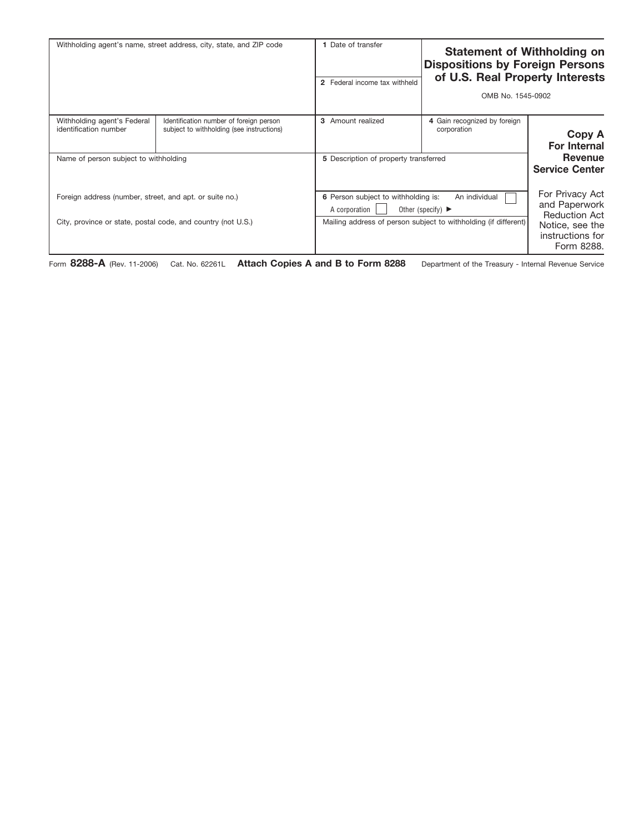| Date of transfer<br><b>Statement of Withholding on</b><br><b>Dispositions by Foreign Persons</b><br>of U.S. Real Property Interests<br>2 Federal income tax withheld<br>OMB No. 1545-0902 | Withholding agent's name, street address, city, state, and ZIP code                  |                                                              |
|-------------------------------------------------------------------------------------------------------------------------------------------------------------------------------------------|--------------------------------------------------------------------------------------|--------------------------------------------------------------|
| 3 Amount realized<br>4 Gain recognized by foreign<br>corporation                                                                                                                          | Identification number of foreign person<br>subject to withholding (see instructions) | Withholding agent's Federal<br>identification number         |
| 5 Description of property transferred                                                                                                                                                     |                                                                                      | Name of person subject to withholding                        |
| 6 Person subject to withholding is:<br>An individual<br>Other (specify) $\blacktriangleright$<br>A corporation                                                                            | Foreign address (number, street, and apt. or suite no.)                              |                                                              |
| Mailing address of person subject to withholding (if different)                                                                                                                           |                                                                                      | City, province or state, postal code, and country (not U.S.) |

Form **8288-A** (Rev. 11-2006) Cat. No. 62261L **Attach Copies A and B to Form 8288** Department of the Treasury - Internal Revenue Service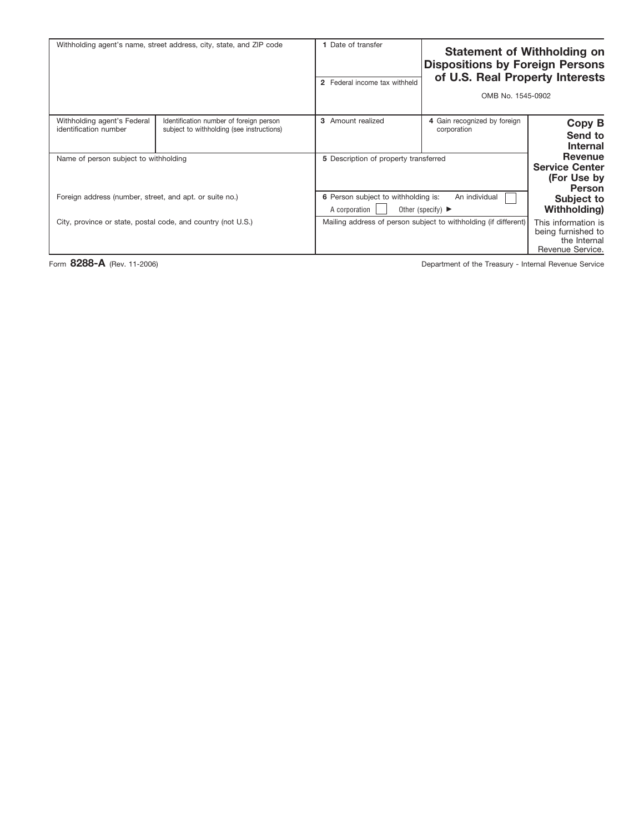| <b>Statement of Withholding on</b>                                            | <b>Dispositions by Foreign Persons</b><br>of U.S. Real Property Interests<br>OMB No. 1545-0902                 | Date of transfer<br>2 Federal income tax withheld | Withholding agent's name, street address, city, state, and ZIP code                  |                                                         |
|-------------------------------------------------------------------------------|----------------------------------------------------------------------------------------------------------------|---------------------------------------------------|--------------------------------------------------------------------------------------|---------------------------------------------------------|
| Copy B<br>Send to<br><b>Internal</b>                                          | 4 Gain recognized by foreign<br>corporation                                                                    | 3 Amount realized                                 | Identification number of foreign person<br>subject to withholding (see instructions) | Withholding agent's Federal<br>identification number    |
| Revenue<br><b>Service Center</b><br>(For Use by<br><b>Person</b>              |                                                                                                                | 5 Description of property transferred             |                                                                                      | Name of person subject to withholding                   |
| Subject to<br><b>Withholding</b> )                                            | 6 Person subject to withholding is:<br>An individual<br>A corporation<br>Other (specify) $\blacktriangleright$ |                                                   |                                                                                      | Foreign address (number, street, and apt. or suite no.) |
| This information is<br>being furnished to<br>the Internal<br>Revenue Service. | Mailing address of person subject to withholding (if different)                                                |                                                   | City, province or state, postal code, and country (not U.S.)                         |                                                         |

Form 8288-A (Rev. 11-2006) **Department of the Treasury - Internal Revenue Service**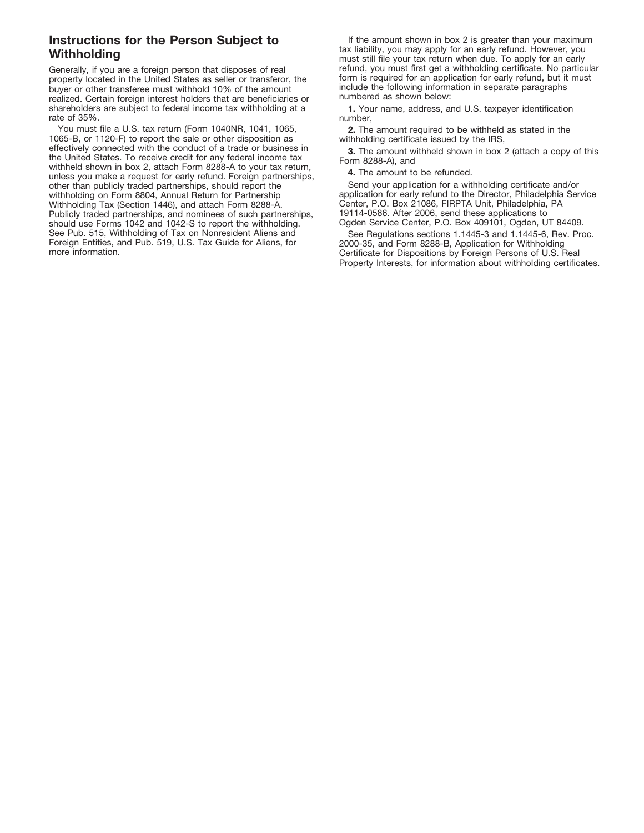## **Instructions for the Person Subject to Withholding**

Generally, if you are a foreign person that disposes of real property located in the United States as seller or transferor, the buyer or other transferee must withhold 10% of the amount realized. Certain foreign interest holders that are beneficiaries or shareholders are subject to federal income tax withholding at a rate of 35%.

You must file a U.S. tax return (Form 1040NR, 1041, 1065, 1065-B, or 1120-F) to report the sale or other disposition as effectively connected with the conduct of a trade or business in the United States. To receive credit for any federal income tax withheld shown in box 2, attach Form 8288-A to your tax return, unless you make a request for early refund. Foreign partnerships, other than publicly traded partnerships, should report the withholding on Form 8804, Annual Return for Partnership Withholding Tax (Section 1446), and attach Form 8288-A. Publicly traded partnerships, and nominees of such partnerships, should use Forms 1042 and 1042-S to report the withholding. See Pub. 515, Withholding of Tax on Nonresident Aliens and Foreign Entities, and Pub. 519, U.S. Tax Guide for Aliens, for more information.

If the amount shown in box 2 is greater than your maximum tax liability, you may apply for an early refund. However, you must still file your tax return when due. To apply for an early refund, you must first get a withholding certificate. No particular form is required for an application for early refund, but it must include the following information in separate paragraphs numbered as shown below:

**1.** Your name, address, and U.S. taxpayer identification number,

**2.** The amount required to be withheld as stated in the withholding certificate issued by the IRS,

**3.** The amount withheld shown in box 2 (attach a copy of this Form 8288-A), and

**4.** The amount to be refunded.

Send your application for a withholding certificate and/or application for early refund to the Director, Philadelphia Service Center, P.O. Box 21086, FIRPTA Unit, Philadelphia, PA 19114-0586. After 2006, send these applications to Ogden Service Center, P.O. Box 409101, Ogden, UT 84409.

See Regulations sections 1.1445-3 and 1.1445-6, Rev. Proc. 2000-35, and Form 8288-B, Application for Withholding Certificate for Dispositions by Foreign Persons of U.S. Real Property Interests, for information about withholding certificates.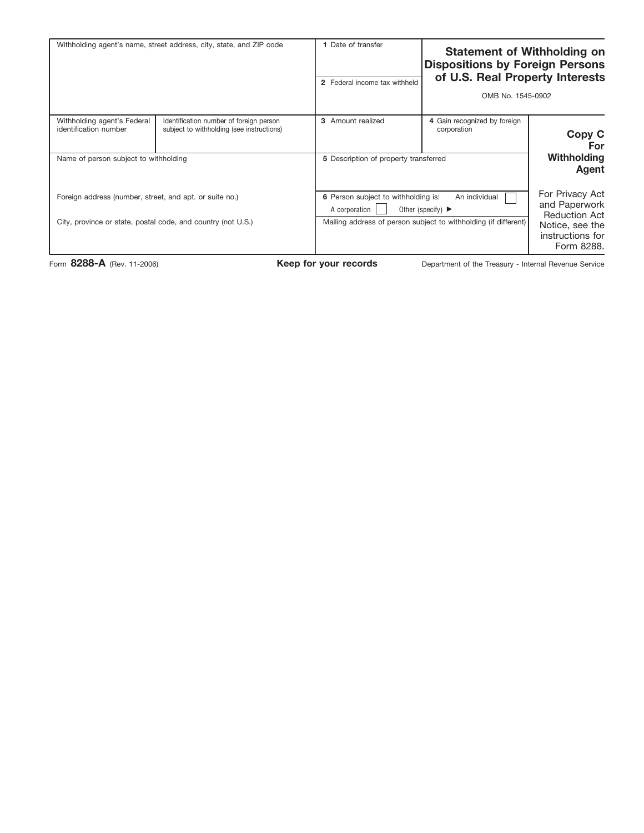| Withholding agent's name, street address, city, state, and ZIP code                                                     |                                                                                      | 1 Date of transfer<br>2 Federal income tax withheld                                                                                                                               | <b>Statement of Withholding on</b><br><b>Dispositions by Foreign Persons</b><br>of U.S. Real Property Interests<br>OMB No. 1545-0902 |                                                                                                                        |
|-------------------------------------------------------------------------------------------------------------------------|--------------------------------------------------------------------------------------|-----------------------------------------------------------------------------------------------------------------------------------------------------------------------------------|--------------------------------------------------------------------------------------------------------------------------------------|------------------------------------------------------------------------------------------------------------------------|
| Withholding agent's Federal<br>identification number<br>Name of person subject to withholding                           | Identification number of foreign person<br>subject to withholding (see instructions) | 3 Amount realized<br>5 Description of property transferred                                                                                                                        | 4 Gain recognized by foreign<br>corporation                                                                                          | Copy C<br>For<br><b>Withholding</b>                                                                                    |
| Foreign address (number, street, and apt. or suite no.)<br>City, province or state, postal code, and country (not U.S.) |                                                                                      | 6 Person subject to withholding is:<br>An individual<br>A corporation<br>Other (specify) $\blacktriangleright$<br>Mailing address of person subject to withholding (if different) |                                                                                                                                      | Agent<br>For Privacy Act<br>and Paperwork<br><b>Reduction Act</b><br>Notice, see the<br>instructions for<br>Form 8288. |

Form 8288-A (Rev. 11-2006) **Keep for your records** Department of the Treasury - Internal Revenue Service